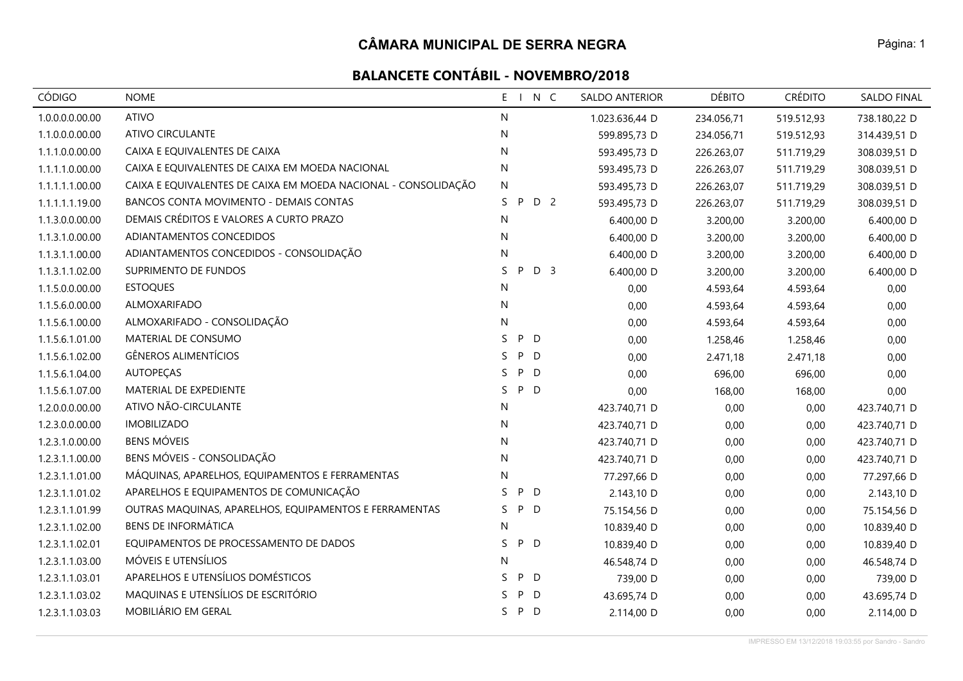| CÓDIGO          | <b>NOME</b>                                                    | $E - 1$<br>N C            | <b>SALDO ANTERIOR</b> | <b>DÉBITO</b> | <b>CRÉDITO</b> | <b>SALDO FINAL</b> |
|-----------------|----------------------------------------------------------------|---------------------------|-----------------------|---------------|----------------|--------------------|
| 1.0.0.0.0.00.00 | <b>ATIVO</b>                                                   | N                         | 1.023.636,44 D        | 234.056,71    | 519.512,93     | 738.180,22 D       |
| 1.1.0.0.0.00.00 | <b>ATIVO CIRCULANTE</b>                                        | N                         | 599.895,73 D          | 234.056,71    | 519.512,93     | 314.439,51 D       |
| 1.1.1.0.0.00.00 | CAIXA E EQUIVALENTES DE CAIXA                                  | N                         | 593.495,73 D          | 226.263,07    | 511.719,29     | 308.039,51 D       |
| 1.1.1.1.0.00.00 | CAIXA E EQUIVALENTES DE CAIXA EM MOEDA NACIONAL                | N                         | 593.495,73 D          | 226.263,07    | 511.719,29     | 308.039,51 D       |
| 1.1.1.1.1.00.00 | CAIXA E EQUIVALENTES DE CAIXA EM MOEDA NACIONAL - CONSOLIDAÇÃO | N                         | 593.495,73 D          | 226.263,07    | 511.719,29     | 308.039,51 D       |
| 1.1.1.1.1.19.00 | BANCOS CONTA MOVIMENTO - DEMAIS CONTAS                         | D 2<br>S.<br>P            | 593.495,73 D          | 226.263,07    | 511.719,29     | 308.039,51 D       |
| 1.1.3.0.0.00.00 | DEMAIS CRÉDITOS E VALORES A CURTO PRAZO                        | N                         | 6.400,00 D            | 3.200,00      | 3.200,00       | 6.400,00 D         |
| 1.1.3.1.0.00.00 | ADIANTAMENTOS CONCEDIDOS                                       | N                         | 6.400,00 D            | 3.200,00      | 3.200,00       | 6.400,00 D         |
| 1.1.3.1.1.00.00 | ADIANTAMENTOS CONCEDIDOS - CONSOLIDAÇÃO                        | N                         | 6.400,00 D            | 3.200,00      | 3.200,00       | 6.400,00 D         |
| 1.1.3.1.1.02.00 | SUPRIMENTO DE FUNDOS                                           | P<br>D <sub>3</sub><br>S. | 6.400,00 D            | 3.200,00      | 3.200,00       | 6.400,00 D         |
| 1.1.5.0.0.00.00 | <b>ESTOQUES</b>                                                | N                         | 0,00                  | 4.593,64      | 4.593,64       | 0,00               |
| 1.1.5.6.0.00.00 | ALMOXARIFADO                                                   | ${\sf N}$                 | 0,00                  | 4.593,64      | 4.593,64       | 0,00               |
| 1.1.5.6.1.00.00 | ALMOXARIFADO - CONSOLIDAÇÃO                                    | N                         | 0,00                  | 4.593,64      | 4.593,64       | 0,00               |
| 1.1.5.6.1.01.00 | MATERIAL DE CONSUMO                                            | P D<br>S.                 | 0,00                  | 1.258,46      | 1.258,46       | 0,00               |
| 1.1.5.6.1.02.00 | <b>GÊNEROS ALIMENTÍCIOS</b>                                    | S.<br>P<br>D              | 0,00                  | 2.471,18      | 2.471,18       | 0,00               |
| 1.1.5.6.1.04.00 | <b>AUTOPECAS</b>                                               | P<br>D<br>S.              | 0,00                  | 696,00        | 696,00         | 0,00               |
| 1.1.5.6.1.07.00 | MATERIAL DE EXPEDIENTE                                         | S<br>P<br>D               | 0,00                  | 168,00        | 168,00         | 0,00               |
| 1.2.0.0.0.00.00 | ATIVO NÃO-CIRCULANTE                                           | N                         | 423.740,71 D          | 0,00          | 0,00           | 423.740,71 D       |
| 1.2.3.0.0.00.00 | <b>IMOBILIZADO</b>                                             | N                         | 423.740,71 D          | 0,00          | 0,00           | 423.740,71 D       |
| 1.2.3.1.0.00.00 | <b>BENS MÓVEIS</b>                                             | N                         | 423.740,71 D          | 0,00          | 0,00           | 423.740,71 D       |
| 1.2.3.1.1.00.00 | BENS MÓVEIS - CONSOLIDAÇÃO                                     | ${\sf N}$                 | 423.740,71 D          | 0,00          | 0,00           | 423.740,71 D       |
| 1.2.3.1.1.01.00 | MÁQUINAS, APARELHOS, EQUIPAMENTOS E FERRAMENTAS                | N                         | 77.297,66 D           | 0,00          | 0,00           | 77.297,66 D        |
| 1.2.3.1.1.01.02 | APARELHOS E EQUIPAMENTOS DE COMUNICAÇÃO                        | D<br>S.<br>P              | 2.143,10 D            | 0,00          | 0,00           | 2.143,10 D         |
| 1.2.3.1.1.01.99 | OUTRAS MAQUINAS, APARELHOS, EQUIPAMENTOS E FERRAMENTAS         | P D<br>S.                 | 75.154,56 D           | 0,00          | 0,00           | 75.154,56 D        |
| 1.2.3.1.1.02.00 | <b>BENS DE INFORMÁTICA</b>                                     | N                         | 10.839,40 D           | 0,00          | 0,00           | 10.839,40 D        |
| 1.2.3.1.1.02.01 | EQUIPAMENTOS DE PROCESSAMENTO DE DADOS                         | S<br>P D                  | 10.839,40 D           | 0,00          | 0,00           | 10.839,40 D        |
| 1.2.3.1.1.03.00 | MÓVEIS E UTENSÍLIOS                                            | N                         | 46.548,74 D           | 0,00          | 0,00           | 46.548,74 D        |
| 1.2.3.1.1.03.01 | APARELHOS E UTENSÍLIOS DOMÉSTICOS                              | P<br>S.<br>D              | 739,00 D              | 0,00          | 0,00           | 739,00 D           |
| 1.2.3.1.1.03.02 | MAQUINAS E UTENSÍLIOS DE ESCRITÓRIO                            | P<br>D<br>S.              | 43.695,74 D           | 0,00          | 0,00           | 43.695,74 D        |
| 1.2.3.1.1.03.03 | MOBILIÁRIO EM GERAL                                            | S.<br>P D                 | 2.114,00 D            | 0,00          | 0,00           | 2.114,00 D         |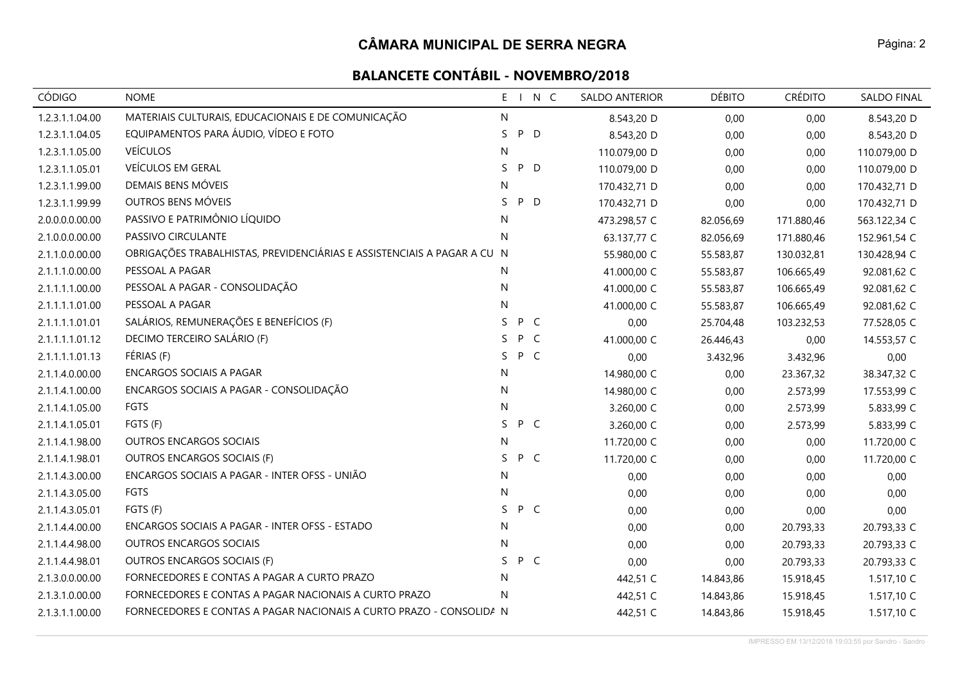| <b>CÓDIGO</b>   | <b>NOME</b>                                                             | E<br>$\blacksquare$ |     | N C | SALDO ANTERIOR | <b>DÉBITO</b> | <b>CRÉDITO</b> | <b>SALDO FINAL</b> |
|-----------------|-------------------------------------------------------------------------|---------------------|-----|-----|----------------|---------------|----------------|--------------------|
| 1.2.3.1.1.04.00 | MATERIAIS CULTURAIS, EDUCACIONAIS E DE COMUNICAÇÃO                      | N                   |     |     | 8.543,20 D     | 0,00          | 0,00           | 8.543,20 D         |
| 1.2.3.1.1.04.05 | EQUIPAMENTOS PARA ÁUDIO, VÍDEO E FOTO                                   | S                   | P   | D   | 8.543,20 D     | 0,00          | 0,00           | 8.543,20 D         |
| 1.2.3.1.1.05.00 | <b>VEÍCULOS</b>                                                         | N                   |     |     | 110.079,00 D   | 0,00          | 0,00           | 110.079,00 D       |
| 1.2.3.1.1.05.01 | VEÍCULOS EM GERAL                                                       | S                   | P   | D   | 110.079,00 D   | 0,00          | 0,00           | 110.079,00 D       |
| 1.2.3.1.1.99.00 | DEMAIS BENS MÓVEIS                                                      | N                   |     |     | 170.432,71 D   | 0,00          | 0,00           | 170.432,71 D       |
| 1.2.3.1.1.99.99 | OUTROS BENS MÓVEIS                                                      | S                   | P D |     | 170.432,71 D   | 0,00          | 0,00           | 170.432,71 D       |
| 2.0.0.0.0.00.00 | PASSIVO E PATRIMÔNIO LÍQUIDO                                            | N                   |     |     | 473.298,57 C   | 82.056,69     | 171.880,46     | 563.122,34 C       |
| 2.1.0.0.0.00.00 | PASSIVO CIRCULANTE                                                      | N                   |     |     | 63.137,77 C    | 82.056,69     | 171.880,46     | 152.961,54 C       |
| 2.1.1.0.0.00.00 | OBRIGAÇÕES TRABALHISTAS, PREVIDENCIÁRIAS E ASSISTENCIAIS A PAGAR A CU N |                     |     |     | 55.980,00 C    | 55.583,87     | 130.032,81     | 130.428,94 C       |
| 2.1.1.1.0.00.00 | PESSOAL A PAGAR                                                         | N                   |     |     | 41.000,00 C    | 55.583,87     | 106.665,49     | 92.081,62 C        |
| 2.1.1.1.1.00.00 | PESSOAL A PAGAR - CONSOLIDAÇÃO                                          | N                   |     |     | 41.000,00 C    | 55.583,87     | 106.665,49     | 92.081,62 C        |
| 2.1.1.1.1.01.00 | PESSOAL A PAGAR                                                         | N                   |     |     | 41.000,00 C    | 55.583,87     | 106.665,49     | 92.081,62 C        |
| 2.1.1.1.1.01.01 | SALÁRIOS, REMUNERAÇÕES E BENEFÍCIOS (F)                                 | S.                  | P C |     | 0,00           | 25.704,48     | 103.232,53     | 77.528,05 C        |
| 2.1.1.1.1.01.12 | DECIMO TERCEIRO SALÁRIO (F)                                             | S.                  | P C |     | 41.000,00 C    | 26.446,43     | 0,00           | 14.553,57 C        |
| 2.1.1.1.1.01.13 | FÉRIAS (F)                                                              | S                   | P C |     | 0,00           | 3.432,96      | 3.432,96       | 0,00               |
| 2.1.1.4.0.00.00 | <b>ENCARGOS SOCIAIS A PAGAR</b>                                         | N                   |     |     | 14.980,00 C    | 0,00          | 23.367,32      | 38.347,32 C        |
| 2.1.1.4.1.00.00 | ENCARGOS SOCIAIS A PAGAR - CONSOLIDAÇÃO                                 | N                   |     |     | 14.980,00 C    | 0,00          | 2.573,99       | 17.553,99 C        |
| 2.1.1.4.1.05.00 | <b>FGTS</b>                                                             | N                   |     |     | 3.260,00 C     | 0,00          | 2.573,99       | 5.833,99 C         |
| 2.1.1.4.1.05.01 | FGTS (F)                                                                | S.                  | P C |     | 3.260,00 C     | 0,00          | 2.573,99       | 5.833,99 C         |
| 2.1.1.4.1.98.00 | OUTROS ENCARGOS SOCIAIS                                                 | N                   |     |     | 11.720,00 C    | 0,00          | 0,00           | 11.720,00 C        |
| 2.1.1.4.1.98.01 | OUTROS ENCARGOS SOCIAIS (F)                                             | S.                  | P C |     | 11.720,00 C    | 0,00          | 0,00           | 11.720,00 C        |
| 2.1.1.4.3.00.00 | ENCARGOS SOCIAIS A PAGAR - INTER OFSS - UNIÃO                           | N                   |     |     | 0,00           | 0,00          | 0,00           | 0,00               |
| 2.1.1.4.3.05.00 | <b>FGTS</b>                                                             | N                   |     |     | 0,00           | 0,00          | 0,00           | 0,00               |
| 2.1.1.4.3.05.01 | FGTS (F)                                                                | S                   | P C |     | 0,00           | 0,00          | 0,00           | 0,00               |
| 2.1.1.4.4.00.00 | ENCARGOS SOCIAIS A PAGAR - INTER OFSS - ESTADO                          | N                   |     |     | 0,00           | 0,00          | 20.793,33      | 20.793,33 C        |
| 2.1.1.4.4.98.00 | OUTROS ENCARGOS SOCIAIS                                                 | N                   |     |     | 0,00           | 0,00          | 20.793,33      | 20.793,33 C        |
| 2.1.1.4.4.98.01 | OUTROS ENCARGOS SOCIAIS (F)                                             | S.                  | P C |     | 0,00           | 0,00          | 20.793,33      | 20.793,33 C        |
| 2.1.3.0.0.00.00 | FORNECEDORES E CONTAS A PAGAR A CURTO PRAZO                             | N                   |     |     | 442,51 C       | 14.843,86     | 15.918,45      | 1.517,10 C         |
| 2.1.3.1.0.00.00 | FORNECEDORES E CONTAS A PAGAR NACIONAIS A CURTO PRAZO                   | N                   |     |     | 442,51 C       | 14.843,86     | 15.918,45      | 1.517,10 C         |
| 2.1.3.1.1.00.00 | FORNECEDORES E CONTAS A PAGAR NACIONAIS A CURTO PRAZO - CONSOLIDA N     |                     |     |     | 442,51 C       | 14.843,86     | 15.918,45      | 1.517,10 C         |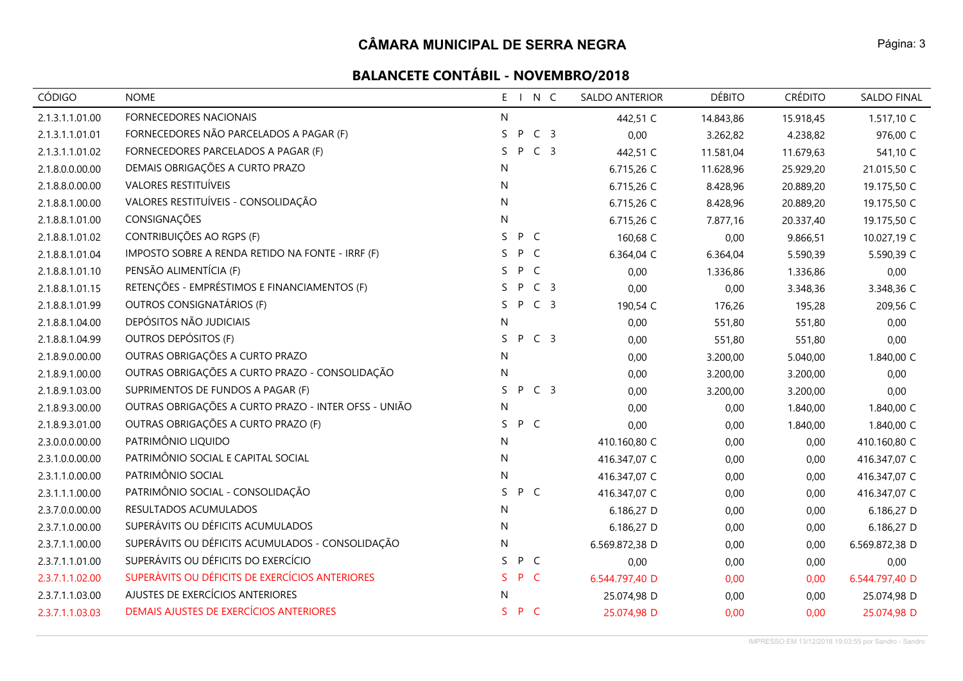| <b>CÓDIGO</b>   | <b>NOME</b>                                          | $E_{\perp}$ |     | N C            | <b>SALDO ANTERIOR</b> | <b>DÉBITO</b> | <b>CRÉDITO</b> | <b>SALDO FINAL</b> |
|-----------------|------------------------------------------------------|-------------|-----|----------------|-----------------------|---------------|----------------|--------------------|
| 2.1.3.1.1.01.00 | <b>FORNECEDORES NACIONAIS</b>                        | N           |     |                | 442,51 C              | 14.843,86     | 15.918,45      | 1.517,10 C         |
| 2.1.3.1.1.01.01 | FORNECEDORES NÃO PARCELADOS A PAGAR (F)              | S           | P   | C <sub>3</sub> | 0,00                  | 3.262,82      | 4.238,82       | 976,00 C           |
| 2.1.3.1.1.01.02 | FORNECEDORES PARCELADOS A PAGAR (F)                  | S.          | P   | C <sub>3</sub> | 442,51 C              | 11.581,04     | 11.679,63      | 541,10 C           |
| 2.1.8.0.0.00.00 | DEMAIS OBRIGAÇÕES A CURTO PRAZO                      | N           |     |                | 6.715,26 C            | 11.628,96     | 25.929,20      | 21.015,50 C        |
| 2.1.8.8.0.00.00 | <b>VALORES RESTITUÍVEIS</b>                          | N           |     |                | 6.715,26 C            | 8.428,96      | 20.889,20      | 19.175,50 C        |
| 2.1.8.8.1.00.00 | VALORES RESTITUÍVEIS - CONSOLIDAÇÃO                  | N           |     |                | 6.715,26 C            | 8.428,96      | 20.889,20      | 19.175,50 C        |
| 2.1.8.8.1.01.00 | CONSIGNAÇÕES                                         | N           |     |                | 6.715,26 C            | 7.877,16      | 20.337,40      | 19.175,50 C        |
| 2.1.8.8.1.01.02 | CONTRIBUIÇÕES AO RGPS (F)                            | S.          | P C |                | 160,68 C              | 0,00          | 9.866,51       | 10.027,19 C        |
| 2.1.8.8.1.01.04 | IMPOSTO SOBRE A RENDA RETIDO NA FONTE - IRRF (F)     | S.          | P C |                | 6.364,04 C            | 6.364,04      | 5.590,39       | 5.590,39 C         |
| 2.1.8.8.1.01.10 | PENSÃO ALIMENTÍCIA (F)                               | S.          | P   | $\mathsf{C}$   | 0,00                  | 1.336,86      | 1.336,86       | 0,00               |
| 2.1.8.8.1.01.15 | RETENÇÕES - EMPRÉSTIMOS E FINANCIAMENTOS (F)         | S.          | P   | C <sub>3</sub> | 0,00                  | 0,00          | 3.348,36       | 3.348,36 C         |
| 2.1.8.8.1.01.99 | OUTROS CONSIGNATÁRIOS (F)                            | S.          | P   | C <sub>3</sub> | 190,54 C              | 176,26        | 195,28         | 209,56 C           |
| 2.1.8.8.1.04.00 | DEPÓSITOS NÃO JUDICIAIS                              | N           |     |                | 0,00                  | 551,80        | 551,80         | 0,00               |
| 2.1.8.8.1.04.99 | OUTROS DEPÓSITOS (F)                                 | S.          | P   | C <sub>3</sub> | 0,00                  | 551,80        | 551,80         | 0,00               |
| 2.1.8.9.0.00.00 | OUTRAS OBRIGAÇÕES A CURTO PRAZO                      | N           |     |                | 0,00                  | 3.200,00      | 5.040,00       | 1.840,00 C         |
| 2.1.8.9.1.00.00 | OUTRAS OBRIGAÇÕES A CURTO PRAZO - CONSOLIDAÇÃO       | N           |     |                | 0,00                  | 3.200,00      | 3.200,00       | 0,00               |
| 2.1.8.9.1.03.00 | SUPRIMENTOS DE FUNDOS A PAGAR (F)                    | S.          | P   | C <sub>3</sub> | 0,00                  | 3.200,00      | 3.200,00       | 0,00               |
| 2.1.8.9.3.00.00 | OUTRAS OBRIGAÇÕES A CURTO PRAZO - INTER OFSS - UNIÃO | N           |     |                | 0,00                  | 0,00          | 1.840,00       | 1.840,00 C         |
| 2.1.8.9.3.01.00 | OUTRAS OBRIGAÇÕES A CURTO PRAZO (F)                  | S.          | P C |                | 0,00                  | 0,00          | 1.840,00       | 1.840,00 C         |
| 2.3.0.0.0.00.00 | PATRIMÔNIO LIQUIDO                                   | N           |     |                | 410.160,80 C          | 0,00          | 0,00           | 410.160,80 C       |
| 2.3.1.0.0.00.00 | PATRIMÔNIO SOCIAL E CAPITAL SOCIAL                   | N           |     |                | 416.347,07 C          | 0,00          | 0,00           | 416.347,07 C       |
| 2.3.1.1.0.00.00 | PATRIMÔNIO SOCIAL                                    | N           |     |                | 416.347,07 C          | 0,00          | 0,00           | 416.347,07 C       |
| 2.3.1.1.1.00.00 | PATRIMÔNIO SOCIAL - CONSOLIDAÇÃO                     | S.          | P C |                | 416.347,07 C          | 0,00          | 0,00           | 416.347,07 C       |
| 2.3.7.0.0.00.00 | RESULTADOS ACUMULADOS                                | N           |     |                | 6.186,27 D            | 0,00          | 0,00           | 6.186,27 D         |
| 2.3.7.1.0.00.00 | SUPERÁVITS OU DÉFICITS ACUMULADOS                    | N           |     |                | 6.186,27 D            | 0,00          | 0,00           | 6.186,27 D         |
| 2.3.7.1.1.00.00 | SUPERÁVITS OU DÉFICITS ACUMULADOS - CONSOLIDAÇÃO     | N           |     |                | 6.569.872,38 D        | 0,00          | 0,00           | 6.569.872,38 D     |
| 2.3.7.1.1.01.00 | SUPERÁVITS OU DÉFICITS DO EXERCÍCIO                  | S.          | P C |                | 0,00                  | 0,00          | 0,00           | 0,00               |
| 2.3.7.1.1.02.00 | SUPERÁVITS OU DÉFICITS DE EXERCÍCIOS ANTERIORES      | S.          | P C |                | 6.544.797,40 D        | 0,00          | 0,00           | 6.544.797,40 D     |
| 2.3.7.1.1.03.00 | AJUSTES DE EXERCÍCIOS ANTERIORES                     | N           |     |                | 25.074,98 D           | 0,00          | 0,00           | 25.074,98 D        |
| 2.3.7.1.1.03.03 | DEMAIS AJUSTES DE EXERCÍCIOS ANTERIORES              | S.          | P C |                | 25.074,98 D           | 0,00          | 0,00           | 25.074,98 D        |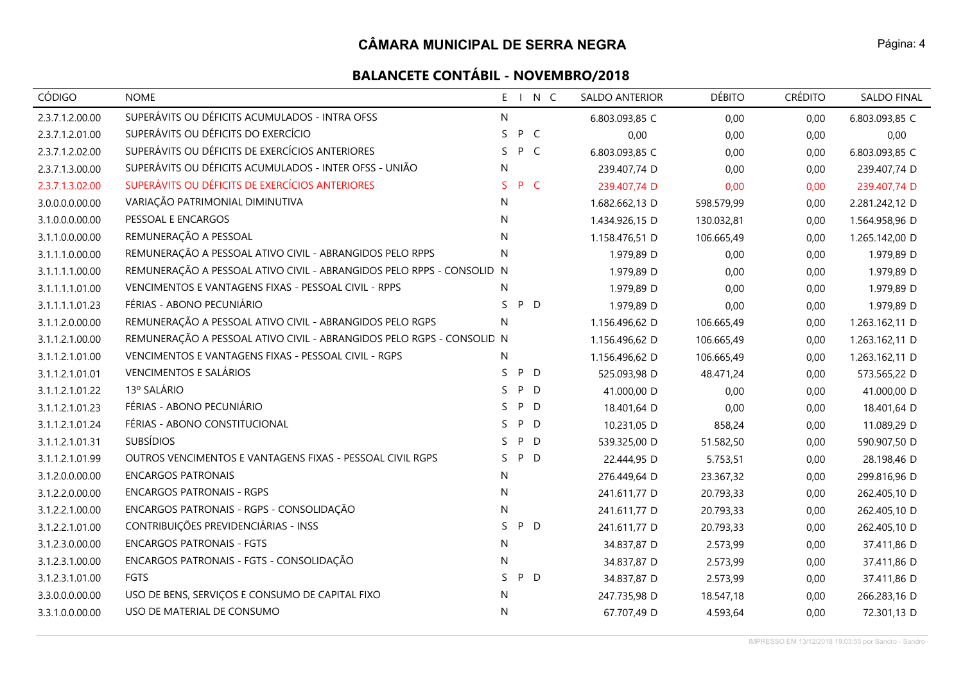| <b>CÓDIGO</b>   | <b>NOME</b>                                                           | E  | $\blacksquare$ | N C          | SALDO ANTERIOR | <b>DÉBITO</b> | <b>CRÉDITO</b> | <b>SALDO FINAL</b> |
|-----------------|-----------------------------------------------------------------------|----|----------------|--------------|----------------|---------------|----------------|--------------------|
| 2.3.7.1.2.00.00 | SUPERÁVITS OU DÉFICITS ACUMULADOS - INTRA OFSS                        | N  |                |              | 6.803.093,85 C | 0,00          | 0,00           | 6.803.093,85 C     |
| 2.3.7.1.2.01.00 | SUPERÁVITS OU DÉFICITS DO EXERCÍCIO                                   | S  | P              | $\mathsf{C}$ | 0,00           | 0,00          | 0,00           | 0,00               |
| 2.3.7.1.2.02.00 | SUPERÁVITS OU DÉFICITS DE EXERCÍCIOS ANTERIORES                       | S. | P C            |              | 6.803.093,85 C | 0,00          | 0,00           | 6.803.093,85 C     |
| 2.3.7.1.3.00.00 | SUPERÁVITS OU DÉFICITS ACUMULADOS - INTER OFSS - UNIÃO                | N  |                |              | 239.407,74 D   | 0,00          | 0,00           | 239.407,74 D       |
| 2.3.7.1.3.02.00 | SUPERÁVITS OU DÉFICITS DE EXERCÍCIOS ANTERIORES                       | S. | P C            |              | 239.407,74 D   | 0,00          | 0,00           | 239.407,74 D       |
| 3.0.0.0.0.00.00 | VARIAÇÃO PATRIMONIAL DIMINUTIVA                                       | N  |                |              | 1.682.662,13 D | 598.579,99    | 0,00           | 2.281.242,12 D     |
| 3.1.0.0.0.00.00 | PESSOAL E ENCARGOS                                                    | N  |                |              | 1.434.926,15 D | 130.032,81    | 0,00           | 1.564.958,96 D     |
| 3.1.1.0.0.00.00 | REMUNERAÇÃO A PESSOAL                                                 | N  |                |              | 1.158.476,51 D | 106.665,49    | 0,00           | 1.265.142,00 D     |
| 3.1.1.1.0.00.00 | REMUNERAÇÃO A PESSOAL ATIVO CIVIL - ABRANGIDOS PELO RPPS              | N  |                |              | 1.979,89 D     | 0,00          | 0,00           | 1.979,89 D         |
| 3.1.1.1.1.00.00 | REMUNERAÇÃO A PESSOAL ATIVO CIVIL - ABRANGIDOS PELO RPPS - CONSOLID N |    |                |              | 1.979,89 D     | 0,00          | 0,00           | 1.979,89 D         |
| 3.1.1.1.1.01.00 | VENCIMENTOS E VANTAGENS FIXAS - PESSOAL CIVIL - RPPS                  | N  |                |              | 1.979,89 D     | 0,00          | 0,00           | 1.979,89 D         |
| 3.1.1.1.1.01.23 | FÉRIAS - ABONO PECUNIÁRIO                                             | S  | P D            |              | 1.979,89 D     | 0,00          | 0,00           | 1.979,89 D         |
| 3.1.1.2.0.00.00 | REMUNERAÇÃO A PESSOAL ATIVO CIVIL - ABRANGIDOS PELO RGPS              | N  |                |              | 1.156.496,62 D | 106.665,49    | 0,00           | 1.263.162,11 D     |
| 3.1.1.2.1.00.00 | REMUNERAÇÃO A PESSOAL ATIVO CIVIL - ABRANGIDOS PELO RGPS - CONSOLID N |    |                |              | 1.156.496,62 D | 106.665,49    | 0,00           | 1.263.162,11 D     |
| 3.1.1.2.1.01.00 | VENCIMENTOS E VANTAGENS FIXAS - PESSOAL CIVIL - RGPS                  | N  |                |              | 1.156.496,62 D | 106.665,49    | 0,00           | 1.263.162,11 D     |
| 3.1.1.2.1.01.01 | <b>VENCIMENTOS E SALÁRIOS</b>                                         | S  | P              | D            | 525.093,98 D   | 48.471,24     | 0,00           | 573.565,22 D       |
| 3.1.1.2.1.01.22 | 13º SALÁRIO                                                           | S. | P              | D            | 41.000,00 D    | 0,00          | 0,00           | 41.000,00 D        |
| 3.1.1.2.1.01.23 | FÉRIAS - ABONO PECUNIÁRIO                                             | S  | P              | D            | 18.401,64 D    | 0,00          | 0,00           | 18.401,64 D        |
| 3.1.1.2.1.01.24 | FÉRIAS - ABONO CONSTITUCIONAL                                         | S. | P              | D            | 10.231,05 D    | 858,24        | 0,00           | 11.089,29 D        |
| 3.1.1.2.1.01.31 | <b>SUBSÍDIOS</b>                                                      | S  | P              | D            | 539.325,00 D   | 51.582,50     | 0,00           | 590.907,50 D       |
| 3.1.1.2.1.01.99 | OUTROS VENCIMENTOS E VANTAGENS FIXAS - PESSOAL CIVIL RGPS             | S. | P              | D            | 22.444,95 D    | 5.753,51      | 0,00           | 28.198,46 D        |
| 3.1.2.0.0.00.00 | <b>ENCARGOS PATRONAIS</b>                                             | N  |                |              | 276.449,64 D   | 23.367,32     | 0,00           | 299.816,96 D       |
| 3.1.2.2.0.00.00 | <b>ENCARGOS PATRONAIS - RGPS</b>                                      | N  |                |              | 241.611,77 D   | 20.793,33     | 0,00           | 262.405,10 D       |
| 3.1.2.2.1.00.00 | ENCARGOS PATRONAIS - RGPS - CONSOLIDAÇÃO                              | N  |                |              | 241.611,77 D   | 20.793,33     | 0,00           | 262.405,10 D       |
| 3.1.2.2.1.01.00 | CONTRIBUIÇÕES PREVIDENCIÁRIAS - INSS                                  | S  | P              | D            | 241.611,77 D   | 20.793,33     | 0,00           | 262.405,10 D       |
| 3.1.2.3.0.00.00 | <b>ENCARGOS PATRONAIS - FGTS</b>                                      | N  |                |              | 34.837,87 D    | 2.573,99      | 0,00           | 37.411,86 D        |
| 3.1.2.3.1.00.00 | ENCARGOS PATRONAIS - FGTS - CONSOLIDAÇÃO                              | N  |                |              | 34.837,87 D    | 2.573,99      | 0,00           | 37.411,86 D        |
| 3.1.2.3.1.01.00 | FGTS                                                                  | S. | P              | D            | 34.837,87 D    | 2.573,99      | 0,00           | 37.411,86 D        |
| 3.3.0.0.0.00.00 | USO DE BENS, SERVIÇOS E CONSUMO DE CAPITAL FIXO                       | N  |                |              | 247.735,98 D   | 18.547,18     | 0,00           | 266.283,16 D       |
| 3.3.1.0.0.00.00 | USO DE MATERIAL DE CONSUMO                                            | N  |                |              | 67.707,49 D    | 4.593,64      | 0,00           | 72.301,13 D        |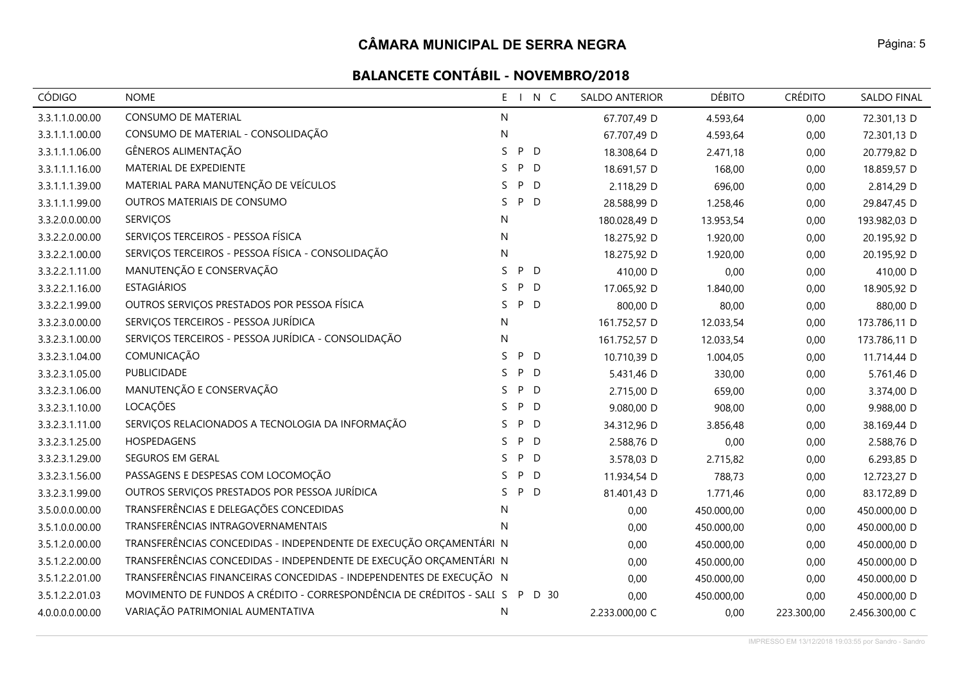| <b>CÓDIGO</b>   | <b>NOME</b>                                                                 |    |        | E I N C | <b>SALDO ANTERIOR</b> | <b>DÉBITO</b> | <b>CRÉDITO</b> | SALDO FINAL    |
|-----------------|-----------------------------------------------------------------------------|----|--------|---------|-----------------------|---------------|----------------|----------------|
| 3.3.1.1.0.00.00 | CONSUMO DE MATERIAL                                                         | N  |        |         | 67.707,49 D           | 4.593,64      | 0,00           | 72.301,13 D    |
| 3.3.1.1.1.00.00 | CONSUMO DE MATERIAL - CONSOLIDAÇÃO                                          | N  |        |         | 67.707,49 D           | 4.593,64      | 0,00           | 72.301,13 D    |
| 3.3.1.1.1.06.00 | GÊNEROS ALIMENTAÇÃO                                                         | S. | P D    |         | 18.308,64 D           | 2.471,18      | 0,00           | 20.779,82 D    |
| 3.3.1.1.1.16.00 | MATERIAL DE EXPEDIENTE                                                      | S. | P<br>D |         | 18.691,57 D           | 168,00        | 0,00           | 18.859,57 D    |
| 3.3.1.1.1.39.00 | MATERIAL PARA MANUTENÇÃO DE VEÍCULOS                                        | S  | P D    |         | 2.118,29 D            | 696,00        | 0,00           | 2.814,29 D     |
| 3.3.1.1.1.99.00 | OUTROS MATERIAIS DE CONSUMO                                                 | S. | P D    |         | 28.588,99 D           | 1.258,46      | 0,00           | 29.847,45 D    |
| 3.3.2.0.0.00.00 | <b>SERVIÇOS</b>                                                             | N  |        |         | 180.028,49 D          | 13.953,54     | 0,00           | 193.982,03 D   |
| 3.3.2.2.0.00.00 | SERVIÇOS TERCEIROS - PESSOA FÍSICA                                          | N  |        |         | 18.275,92 D           | 1.920,00      | 0,00           | 20.195,92 D    |
| 3.3.2.2.1.00.00 | SERVIÇOS TERCEIROS - PESSOA FÍSICA - CONSOLIDAÇÃO                           | N  |        |         | 18.275,92 D           | 1.920,00      | 0,00           | 20.195,92 D    |
| 3.3.2.2.1.11.00 | MANUTENÇÃO E CONSERVAÇÃO                                                    | S  | P D    |         | 410,00 D              | 0,00          | 0,00           | 410,00 D       |
| 3.3.2.2.1.16.00 | <b>ESTAGIÁRIOS</b>                                                          | S. | P D    |         | 17.065,92 D           | 1.840,00      | 0,00           | 18.905,92 D    |
| 3.3.2.2.1.99.00 | OUTROS SERVIÇOS PRESTADOS POR PESSOA FÍSICA                                 | S. | P D    |         | 800,00 D              | 80,00         | 0,00           | 880,00 D       |
| 3.3.2.3.0.00.00 | SERVIÇOS TERCEIROS - PESSOA JURÍDICA                                        | N  |        |         | 161.752,57 D          | 12.033,54     | 0,00           | 173.786,11 D   |
| 3.3.2.3.1.00.00 | SERVIÇOS TERCEIROS - PESSOA JURÍDICA - CONSOLIDAÇÃO                         | N  |        |         | 161.752,57 D          | 12.033,54     | 0,00           | 173.786,11 D   |
| 3.3.2.3.1.04.00 | COMUNICAÇÃO                                                                 | S  | P D    |         | 10.710,39 D           | 1.004,05      | 0,00           | 11.714,44 D    |
| 3.3.2.3.1.05.00 | PUBLICIDADE                                                                 | S. | P D    |         | 5.431,46 D            | 330,00        | 0,00           | 5.761,46 D     |
| 3.3.2.3.1.06.00 | MANUTENÇÃO E CONSERVAÇÃO                                                    | S. | P D    |         | 2.715,00 D            | 659,00        | 0,00           | 3.374,00 D     |
| 3.3.2.3.1.10.00 | LOCAÇÕES                                                                    | S. | P D    |         | 9.080,00 D            | 908,00        | 0,00           | 9.988,00 D     |
| 3.3.2.3.1.11.00 | SERVIÇOS RELACIONADOS A TECNOLOGIA DA INFORMAÇÃO                            | S. | P D    |         | 34.312,96 D           | 3.856,48      | 0,00           | 38.169,44 D    |
| 3.3.2.3.1.25.00 | HOSPEDAGENS                                                                 | S. | P D    |         | 2.588,76 D            | 0,00          | 0,00           | 2.588,76 D     |
| 3.3.2.3.1.29.00 | SEGUROS EM GERAL                                                            | S. | P D    |         | 3.578,03 D            | 2.715,82      | 0,00           | 6.293,85 D     |
| 3.3.2.3.1.56.00 | PASSAGENS E DESPESAS COM LOCOMOÇÃO                                          | S. | P D    |         | 11.934,54 D           | 788,73        | 0,00           | 12.723,27 D    |
| 3.3.2.3.1.99.00 | OUTROS SERVIÇOS PRESTADOS POR PESSOA JURÍDICA                               | S. | P D    |         | 81.401,43 D           | 1.771,46      | 0,00           | 83.172,89 D    |
| 3.5.0.0.0.00.00 | TRANSFERÊNCIAS E DELEGAÇÕES CONCEDIDAS                                      | N  |        |         | 0,00                  | 450.000,00    | 0,00           | 450.000,00 D   |
| 3.5.1.0.0.00.00 | TRANSFERÊNCIAS INTRAGOVERNAMENTAIS                                          | N  |        |         | 0,00                  | 450.000,00    | 0,00           | 450.000,00 D   |
| 3.5.1.2.0.00.00 | TRANSFERÊNCIAS CONCEDIDAS - INDEPENDENTE DE EXECUÇÃO ORÇAMENTÁRI N          |    |        |         | 0,00                  | 450.000,00    | 0,00           | 450.000,00 D   |
| 3.5.1.2.2.00.00 | TRANSFERÊNCIAS CONCEDIDAS - INDEPENDENTE DE EXECUÇÃO ORÇAMENTÁRI N          |    |        |         | 0,00                  | 450.000,00    | 0,00           | 450.000,00 D   |
| 3.5.1.2.2.01.00 | TRANSFERÊNCIAS FINANCEIRAS CONCEDIDAS - INDEPENDENTES DE EXECUÇÃO N         |    |        |         | 0,00                  | 450.000,00    | 0,00           | 450.000,00 D   |
| 3.5.1.2.2.01.03 | MOVIMENTO DE FUNDOS A CRÉDITO - CORRESPONDÊNCIA DE CRÉDITOS - SALI S P D 30 |    |        |         | 0,00                  | 450.000,00    | 0,00           | 450.000,00 D   |
| 4.0.0.0.0.00.00 | VARIAÇÃO PATRIMONIAL AUMENTATIVA                                            | N  |        |         | 2.233.000,00 C        | 0,00          | 223.300,00     | 2.456.300,00 C |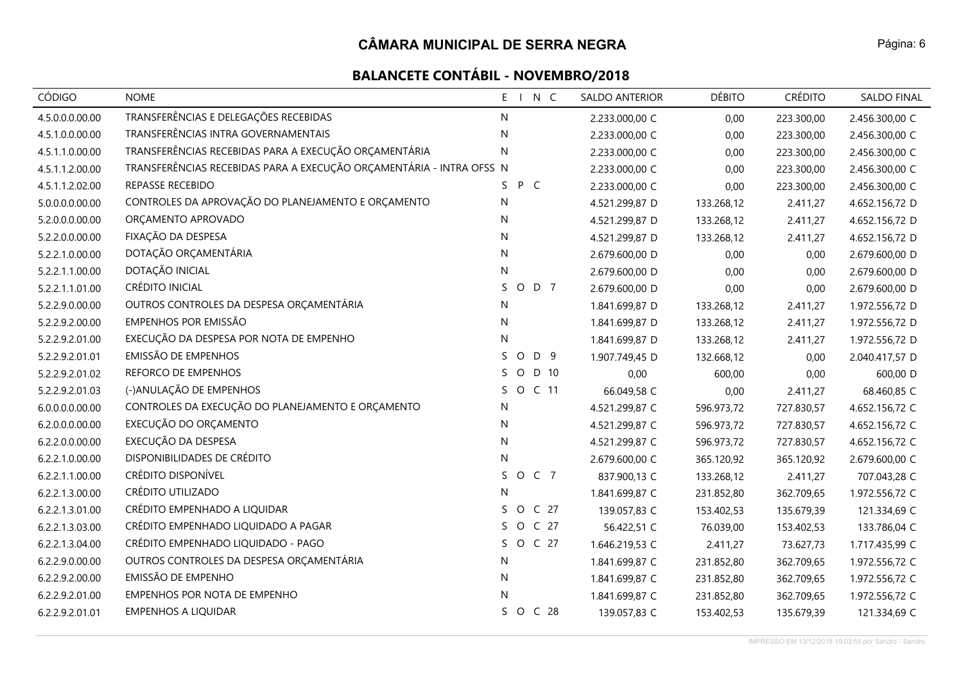| <b>CÓDIGO</b>   | <b>NOME</b>                                                          | N C<br>$E - I$                   | SALDO ANTERIOR | <b>DÉBITO</b> | <b>CRÉDITO</b> | <b>SALDO FINAL</b> |
|-----------------|----------------------------------------------------------------------|----------------------------------|----------------|---------------|----------------|--------------------|
| 4.5.0.0.0.00.00 | TRANSFERÊNCIAS E DELEGAÇÕES RECEBIDAS                                | N                                | 2.233.000,00 C | 0,00          | 223.300,00     | 2.456.300,00 C     |
| 4.5.1.0.0.00.00 | TRANSFERÊNCIAS INTRA GOVERNAMENTAIS                                  | N                                | 2.233.000,00 C | 0,00          | 223.300,00     | 2.456.300,00 C     |
| 4.5.1.1.0.00.00 | TRANSFERÊNCIAS RECEBIDAS PARA A EXECUÇÃO ORÇAMENTÁRIA                | $\mathsf{N}$                     | 2.233.000,00 C | 0,00          | 223.300,00     | 2.456.300,00 C     |
| 4.5.1.1.2.00.00 | TRANSFERÊNCIAS RECEBIDAS PARA A EXECUÇÃO ORÇAMENTÁRIA - INTRA OFSS N |                                  | 2.233.000,00 C | 0,00          | 223.300,00     | 2.456.300,00 C     |
| 4.5.1.1.2.02.00 | REPASSE RECEBIDO                                                     | P C<br>S.                        | 2.233.000,00 C | 0,00          | 223.300,00     | 2.456.300,00 C     |
| 5.0.0.0.0.00.00 | CONTROLES DA APROVAÇÃO DO PLANEJAMENTO E ORÇAMENTO                   | N                                | 4.521.299,87 D | 133.268,12    | 2.411,27       | 4.652.156,72 D     |
| 5.2.0.0.0.00.00 | ORÇAMENTO APROVADO                                                   | N.                               | 4.521.299,87 D | 133.268,12    | 2.411,27       | 4.652.156,72 D     |
| 5.2.2.0.0.00.00 | FIXAÇÃO DA DESPESA                                                   | N                                | 4.521.299,87 D | 133.268,12    | 2.411,27       | 4.652.156,72 D     |
| 5.2.2.1.0.00.00 | DOTAÇÃO ORÇAMENTÁRIA                                                 | N                                | 2.679.600,00 D | 0,00          | 0,00           | 2.679.600,00 D     |
| 5.2.2.1.1.00.00 | DOTAÇÃO INICIAL                                                      | $\mathsf{N}$                     | 2.679.600,00 D | 0,00          | 0,00           | 2.679.600,00 D     |
| 5.2.2.1.1.01.00 | CRÉDITO INICIAL                                                      | S<br>O D 7                       | 2.679.600,00 D | 0,00          | 0,00           | 2.679.600,00 D     |
| 5.2.2.9.0.00.00 | OUTROS CONTROLES DA DESPESA ORÇAMENTÁRIA                             | N                                | 1.841.699,87 D | 133.268,12    | 2.411,27       | 1.972.556,72 D     |
| 5.2.2.9.2.00.00 | EMPENHOS POR EMISSÃO                                                 | $\mathsf{N}$                     | 1.841.699,87 D | 133.268,12    | 2.411,27       | 1.972.556,72 D     |
| 5.2.2.9.2.01.00 | EXECUÇÃO DA DESPESA POR NOTA DE EMPENHO                              | N                                | 1.841.699,87 D | 133.268,12    | 2.411,27       | 1.972.556,72 D     |
| 5.2.2.9.2.01.01 | EMISSÃO DE EMPENHOS                                                  | D 9<br>S.<br>$\circ$             | 1.907.749,45 D | 132.668,12    | 0,00           | 2.040.417,57 D     |
| 5.2.2.9.2.01.02 | REFORCO DE EMPENHOS                                                  | $\circ$<br>D 10<br>S.            | 0,00           | 600,00        | 0,00           | 600,00 D           |
| 5.2.2.9.2.01.03 | (-)ANULAÇÃO DE EMPENHOS                                              | S.<br>$\circ$<br>C <sub>11</sub> | 66.049,58 C    | 0,00          | 2.411,27       | 68.460,85 C        |
| 6.0.0.0.0.00.00 | CONTROLES DA EXECUÇÃO DO PLANEJAMENTO E ORÇAMENTO                    | N                                | 4.521.299,87 C | 596.973,72    | 727.830,57     | 4.652.156,72 C     |
| 6.2.0.0.0.00.00 | EXECUÇÃO DO ORÇAMENTO                                                | N                                | 4.521.299,87 C | 596.973,72    | 727.830,57     | 4.652.156,72 C     |
| 6.2.2.0.0.00.00 | EXECUÇÃO DA DESPESA                                                  | $\mathsf{N}$                     | 4.521.299,87 C | 596.973,72    | 727.830,57     | 4.652.156,72 C     |
| 6.2.2.1.0.00.00 | DISPONIBILIDADES DE CRÉDITO                                          | N                                | 2.679.600,00 C | 365.120,92    | 365.120,92     | 2.679.600,00 C     |
| 6.2.2.1.1.00.00 | CRÉDITO DISPONÍVEL                                                   | S.<br>O C 7                      | 837.900,13 C   | 133.268,12    | 2.411,27       | 707.043,28 C       |
| 6.2.2.1.3.00.00 | CRÉDITO UTILIZADO                                                    | N                                | 1.841.699,87 C | 231.852,80    | 362.709,65     | 1.972.556,72 C     |
| 6.2.2.1.3.01.00 | CRÉDITO EMPENHADO A LIQUIDAR                                         | O C 27<br>S.                     | 139.057,83 C   | 153.402,53    | 135.679,39     | 121.334,69 C       |
| 6.2.2.1.3.03.00 | CRÉDITO EMPENHADO LIQUIDADO A PAGAR                                  | O C 27<br>S.                     | 56.422,51 C    | 76.039,00     | 153.402,53     | 133.786,04 C       |
| 6.2.2.1.3.04.00 | CRÉDITO EMPENHADO LIQUIDADO - PAGO                                   | O C 27<br>S.                     | 1.646.219,53 C | 2.411,27      | 73.627,73      | 1.717.435,99 C     |
| 6.2.2.9.0.00.00 | OUTROS CONTROLES DA DESPESA ORÇAMENTÁRIA                             | N                                | 1.841.699,87 C | 231.852,80    | 362.709,65     | 1.972.556,72 C     |
| 6.2.2.9.2.00.00 | EMISSÃO DE EMPENHO                                                   | N                                | 1.841.699,87 C | 231.852,80    | 362.709,65     | 1.972.556,72 C     |
| 6.2.2.9.2.01.00 | EMPENHOS POR NOTA DE EMPENHO                                         | N                                | 1.841.699,87 C | 231.852,80    | 362.709,65     | 1.972.556,72 C     |
| 6.2.2.9.2.01.01 | <b>EMPENHOS A LIQUIDAR</b>                                           | S.<br>O C 28                     | 139.057,83 C   | 153.402,53    | 135.679,39     | 121.334,69 C       |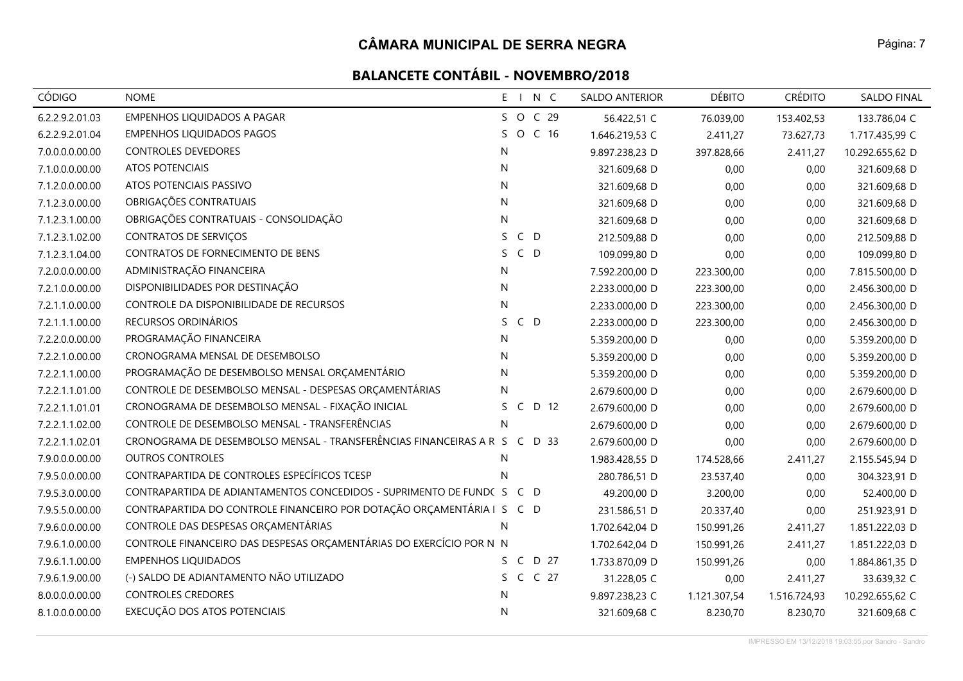# **BALANCETE CONTÁBIL - NOVEMBRO/2018**

| <b>CÓDIGO</b>   | <b>NOME</b>                                                               | E I N C                    | <b>SALDO ANTERIOR</b> | <b>DÉBITO</b> | <b>CRÉDITO</b> | <b>SALDO FINAL</b> |
|-----------------|---------------------------------------------------------------------------|----------------------------|-----------------------|---------------|----------------|--------------------|
| 6.2.2.9.2.01.03 | <b>EMPENHOS LIQUIDADOS A PAGAR</b>                                        | S O C 29                   | 56.422,51 C           | 76.039,00     | 153.402,53     | 133.786,04 C       |
| 6.2.2.9.2.01.04 | <b>EMPENHOS LIQUIDADOS PAGOS</b>                                          | O C 16<br>S.               | 1.646.219,53 C        | 2.411,27      | 73.627,73      | 1.717.435,99 C     |
| 7.0.0.0.0.00.00 | <b>CONTROLES DEVEDORES</b>                                                | N                          | 9.897.238,23 D        | 397.828,66    | 2.411,27       | 10.292.655,62 D    |
| 7.1.0.0.0.00.00 | <b>ATOS POTENCIAIS</b>                                                    | N                          | 321.609,68 D          | 0,00          | 0,00           | 321.609,68 D       |
| 7.1.2.0.0.00.00 | ATOS POTENCIAIS PASSIVO                                                   | N                          | 321.609,68 D          | 0,00          | 0,00           | 321.609,68 D       |
| 7.1.2.3.0.00.00 | OBRIGAÇÕES CONTRATUAIS                                                    | N.                         | 321.609,68 D          | 0,00          | 0,00           | 321.609,68 D       |
| 7.1.2.3.1.00.00 | OBRIGAÇÕES CONTRATUAIS - CONSOLIDAÇÃO                                     | N                          | 321.609,68 D          | 0,00          | 0,00           | 321.609,68 D       |
| 7.1.2.3.1.02.00 | CONTRATOS DE SERVIÇOS                                                     | $C$ D<br>S.                | 212.509,88 D          | 0,00          | 0,00           | 212.509,88 D       |
| 7.1.2.3.1.04.00 | CONTRATOS DE FORNECIMENTO DE BENS                                         | $C$ D<br>S.                | 109.099,80 D          | 0,00          | 0,00           | 109.099,80 D       |
| 7.2.0.0.0.00.00 | ADMINISTRAÇÃO FINANCEIRA                                                  | N                          | 7.592.200,00 D        | 223.300,00    | 0,00           | 7.815.500,00 D     |
| 7.2.1.0.0.00.00 | DISPONIBILIDADES POR DESTINAÇÃO                                           | N                          | 2.233.000,00 D        | 223.300,00    | 0,00           | 2.456.300,00 D     |
| 7.2.1.1.0.00.00 | CONTROLE DA DISPONIBILIDADE DE RECURSOS                                   | N                          | 2.233.000,00 D        | 223.300,00    | 0,00           | 2.456.300,00 D     |
| 7.2.1.1.1.00.00 | RECURSOS ORDINÁRIOS                                                       | $C$ D<br>S.                | 2.233.000,00 D        | 223.300,00    | 0,00           | 2.456.300,00 D     |
| 7.2.2.0.0.00.00 | PROGRAMAÇÃO FINANCEIRA                                                    | N                          | 5.359.200,00 D        | 0,00          | 0,00           | 5.359.200,00 D     |
| 7.2.2.1.0.00.00 | CRONOGRAMA MENSAL DE DESEMBOLSO                                           | $\mathsf{N}$               | 5.359.200,00 D        | 0,00          | 0,00           | 5.359.200,00 D     |
| 7.2.2.1.1.00.00 | PROGRAMAÇÃO DE DESEMBOLSO MENSAL ORÇAMENTÁRIO                             | N                          | 5.359.200,00 D        | 0,00          | 0,00           | 5.359.200,00 D     |
| 7.2.2.1.1.01.00 | CONTROLE DE DESEMBOLSO MENSAL - DESPESAS ORÇAMENTÁRIAS                    | N                          | 2.679.600,00 D        | 0,00          | 0,00           | 2.679.600,00 D     |
| 7.2.2.1.1.01.01 | CRONOGRAMA DE DESEMBOLSO MENSAL - FIXAÇÃO INICIAL                         | D 12<br>$\mathsf{C}$<br>S. | 2.679.600,00 D        | 0,00          | 0,00           | 2.679.600,00 D     |
| 7.2.2.1.1.02.00 | CONTROLE DE DESEMBOLSO MENSAL - TRANSFERÊNCIAS                            | N.                         | 2.679.600,00 D        | 0,00          | 0,00           | 2.679.600,00 D     |
| 7.2.2.1.1.02.01 | CRONOGRAMA DE DESEMBOLSO MENSAL - TRANSFERÊNCIAS FINANCEIRAS A R S C D 33 |                            | 2.679.600,00 D        | 0,00          | 0,00           | 2.679.600,00 D     |
| 7.9.0.0.0.00.00 | <b>OUTROS CONTROLES</b>                                                   | N.                         | 1.983.428,55 D        | 174.528,66    | 2.411,27       | 2.155.545,94 D     |
| 7.9.5.0.0.00.00 | CONTRAPARTIDA DE CONTROLES ESPECÍFICOS TCESP                              | $\mathsf{N}$               | 280.786,51 D          | 23.537,40     | 0,00           | 304.323,91 D       |
| 7.9.5.3.0.00.00 | CONTRAPARTIDA DE ADIANTAMENTOS CONCEDIDOS - SUPRIMENTO DE FUNDC S C D     |                            | 49.200,00 D           | 3.200,00      | 0,00           | 52.400,00 D        |
| 7.9.5.5.0.00.00 | CONTRAPARTIDA DO CONTROLE FINANCEIRO POR DOTAÇÃO ORÇAMENTÁRIA I S C D     |                            | 231.586,51 D          | 20.337,40     | 0,00           | 251.923,91 D       |
| 7.9.6.0.0.00.00 | CONTROLE DAS DESPESAS ORÇAMENTÁRIAS                                       | N                          | 1.702.642,04 D        | 150.991,26    | 2.411,27       | 1.851.222,03 D     |
| 7.9.6.1.0.00.00 | CONTROLE FINANCEIRO DAS DESPESAS ORÇAMENTÁRIAS DO EXERCÍCIO POR N N       |                            | 1.702.642,04 D        | 150.991,26    | 2.411,27       | 1.851.222,03 D     |
| 7.9.6.1.1.00.00 | <b>EMPENHOS LIQUIDADOS</b>                                                | C D 27<br>S.               | 1.733.870,09 D        | 150.991,26    | 0,00           | 1.884.861,35 D     |
| 7.9.6.1.9.00.00 | (-) SALDO DE ADIANTAMENTO NÃO UTILIZADO                                   | S C C 27                   | 31.228,05 C           | 0,00          | 2.411,27       | 33.639,32 C        |
| 8.0.0.0.0.00.00 | <b>CONTROLES CREDORES</b>                                                 | N                          | 9.897.238,23 C        | 1.121.307,54  | 1.516.724,93   | 10.292.655,62 C    |
| 8.1.0.0.0.00.00 | EXECUÇÃO DOS ATOS POTENCIAIS                                              | N                          | 321.609,68 C          | 8.230,70      | 8.230,70       | 321.609,68 C       |

IMPRESSO EM 13/12/2018 19:03:55 por Sandro - Sandro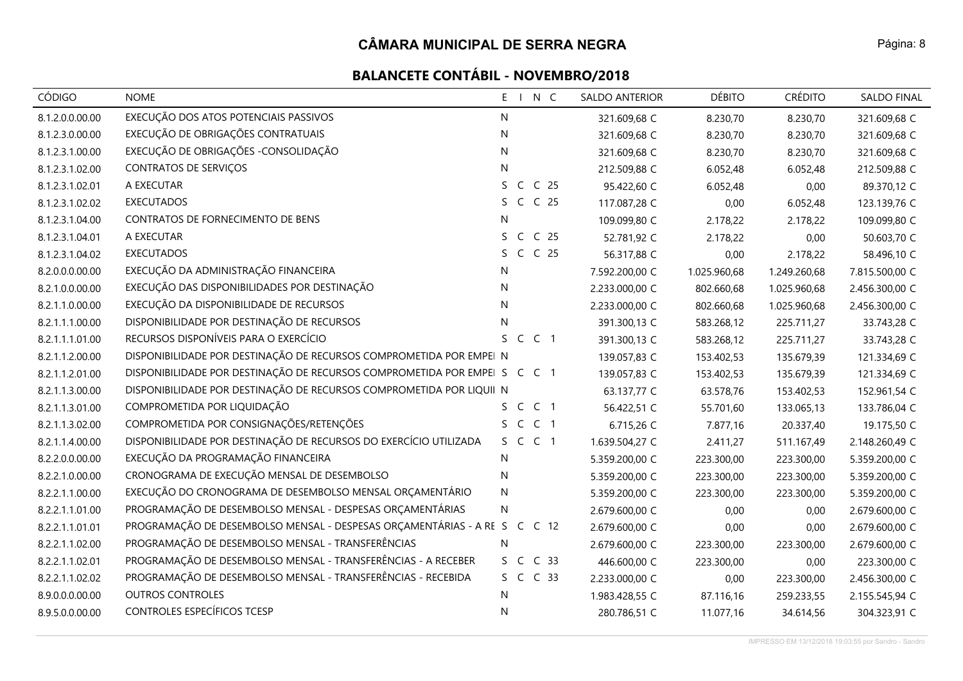| <b>CÓDIGO</b>   | <b>NOME</b>                                                               | N C<br>$E = \Box$                     | <b>SALDO ANTERIOR</b> | <b>DÉBITO</b> | <b>CRÉDITO</b> | <b>SALDO FINAL</b> |
|-----------------|---------------------------------------------------------------------------|---------------------------------------|-----------------------|---------------|----------------|--------------------|
| 8.1.2.0.0.00.00 | EXECUÇÃO DOS ATOS POTENCIAIS PASSIVOS                                     | N                                     | 321.609,68 C          | 8.230,70      | 8.230,70       | 321.609,68 C       |
| 8.1.2.3.0.00.00 | EXECUÇÃO DE OBRIGAÇÕES CONTRATUAIS                                        | N                                     | 321.609,68 C          | 8.230,70      | 8.230,70       | 321.609,68 C       |
| 8.1.2.3.1.00.00 | EXECUÇÃO DE OBRIGAÇÕES - CONSOLIDAÇÃO                                     | N                                     | 321.609,68 C          | 8.230,70      | 8.230,70       | 321.609,68 C       |
| 8.1.2.3.1.02.00 | <b>CONTRATOS DE SERVIÇOS</b>                                              | N                                     | 212.509,88 C          | 6.052,48      | 6.052,48       | 212.509,88 C       |
| 8.1.2.3.1.02.01 | A EXECUTAR                                                                | S C<br>C <sub>25</sub>                | 95.422,60 C           | 6.052,48      | 0,00           | 89.370,12 C        |
| 8.1.2.3.1.02.02 | <b>EXECUTADOS</b>                                                         | S C C 25                              | 117.087,28 C          | 0,00          | 6.052,48       | 123.139,76 C       |
| 8.1.2.3.1.04.00 | CONTRATOS DE FORNECIMENTO DE BENS                                         | N                                     | 109.099,80 C          | 2.178,22      | 2.178,22       | 109.099,80 C       |
| 8.1.2.3.1.04.01 | A EXECUTAR                                                                | $\mathsf{C}$<br>C <sub>25</sub><br>S. | 52.781,92 C           | 2.178,22      | 0,00           | 50.603,70 C        |
| 8.1.2.3.1.04.02 | <b>EXECUTADOS</b>                                                         | C C 25<br>S.                          | 56.317,88 C           | 0,00          | 2.178,22       | 58.496,10 C        |
| 8.2.0.0.0.00.00 | EXECUÇÃO DA ADMINISTRAÇÃO FINANCEIRA                                      | N                                     | 7.592.200,00 C        | 1.025.960,68  | 1.249.260,68   | 7.815.500,00 C     |
| 8.2.1.0.0.00.00 | EXECUÇÃO DAS DISPONIBILIDADES POR DESTINAÇÃO                              | N                                     | 2.233.000,00 C        | 802.660,68    | 1.025.960,68   | 2.456.300,00 C     |
| 8.2.1.1.0.00.00 | EXECUÇÃO DA DISPONIBILIDADE DE RECURSOS                                   | $\mathsf{N}$                          | 2.233.000,00 C        | 802.660,68    | 1.025.960,68   | 2.456.300,00 C     |
| 8.2.1.1.1.00.00 | DISPONIBILIDADE POR DESTINAÇÃO DE RECURSOS                                | N                                     | 391.300,13 C          | 583.268,12    | 225.711,27     | 33.743,28 C        |
| 8.2.1.1.1.01.00 | RECURSOS DISPONÍVEIS PARA O EXERCÍCIO                                     | S C C 1                               | 391.300,13 C          | 583.268,12    | 225.711,27     | 33.743,28 C        |
| 8.2.1.1.2.00.00 | DISPONIBILIDADE POR DESTINAÇÃO DE RECURSOS COMPROMETIDA POR EMPEI N       |                                       | 139.057,83 C          | 153.402,53    | 135.679,39     | 121.334,69 C       |
| 8.2.1.1.2.01.00 | DISPONIBILIDADE POR DESTINAÇÃO DE RECURSOS COMPROMETIDA POR EMPEI S C C 1 |                                       | 139.057,83 C          | 153.402,53    | 135.679,39     | 121.334,69 C       |
| 8.2.1.1.3.00.00 | DISPONIBILIDADE POR DESTINAÇÃO DE RECURSOS COMPROMETIDA POR LIQUII N      |                                       | 63.137,77 C           | 63.578,76     | 153.402,53     | 152.961,54 C       |
| 8.2.1.1.3.01.00 | COMPROMETIDA POR LIQUIDAÇÃO                                               | S C C 1                               | 56.422,51 C           | 55.701,60     | 133.065,13     | 133.786,04 C       |
| 8.2.1.1.3.02.00 | COMPROMETIDA POR CONSIGNAÇÕES/RETENÇÕES                                   | S C C 1                               | 6.715,26 C            | 7.877,16      | 20.337,40      | 19.175,50 C        |
| 8.2.1.1.4.00.00 | DISPONIBILIDADE POR DESTINAÇÃO DE RECURSOS DO EXERCÍCIO UTILIZADA         | S C C 1                               | 1.639.504,27 C        | 2.411,27      | 511.167,49     | 2.148.260,49 C     |
| 8.2.2.0.0.00.00 | EXECUÇÃO DA PROGRAMAÇÃO FINANCEIRA                                        | N.                                    | 5.359.200,00 C        | 223.300,00    | 223.300,00     | 5.359.200,00 C     |
| 8.2.2.1.0.00.00 | CRONOGRAMA DE EXECUÇÃO MENSAL DE DESEMBOLSO                               | N                                     | 5.359.200,00 C        | 223.300,00    | 223.300,00     | 5.359.200,00 C     |
| 8.2.2.1.1.00.00 | EXECUÇÃO DO CRONOGRAMA DE DESEMBOLSO MENSAL ORÇAMENTÁRIO                  | N                                     | 5.359.200,00 C        | 223.300,00    | 223.300,00     | 5.359.200,00 C     |
| 8.2.2.1.1.01.00 | PROGRAMAÇÃO DE DESEMBOLSO MENSAL - DESPESAS ORÇAMENTÁRIAS                 | N                                     | 2.679.600,00 C        | 0,00          | 0,00           | 2.679.600,00 C     |
| 8.2.2.1.1.01.01 | PROGRAMAÇÃO DE DESEMBOLSO MENSAL - DESPESAS ORÇAMENTÁRIAS - A RE S        | C C 12                                | 2.679.600,00 C        | 0,00          | 0,00           | 2.679.600,00 C     |
| 8.2.2.1.1.02.00 | PROGRAMAÇÃO DE DESEMBOLSO MENSAL - TRANSFERÊNCIAS                         | N                                     | 2.679.600,00 C        | 223.300,00    | 223.300,00     | 2.679.600,00 C     |
| 8.2.2.1.1.02.01 | PROGRAMAÇÃO DE DESEMBOLSO MENSAL - TRANSFERÊNCIAS - A RECEBER             | C <sub>33</sub><br>S C                | 446.600,00 C          | 223.300,00    | 0,00           | 223.300,00 C       |
| 8.2.2.1.1.02.02 | PROGRAMAÇÃO DE DESEMBOLSO MENSAL - TRANSFERÊNCIAS - RECEBIDA              | S C C 33                              | 2.233.000,00 C        | 0,00          | 223.300,00     | 2.456.300,00 C     |
| 8.9.0.0.0.00.00 | <b>OUTROS CONTROLES</b>                                                   | N                                     | 1.983.428,55 C        | 87.116,16     | 259.233,55     | 2.155.545,94 C     |
| 8.9.5.0.0.00.00 | CONTROLES ESPECÍFICOS TCESP                                               | N                                     | 280.786,51 C          | 11.077,16     | 34.614,56      | 304.323,91 C       |